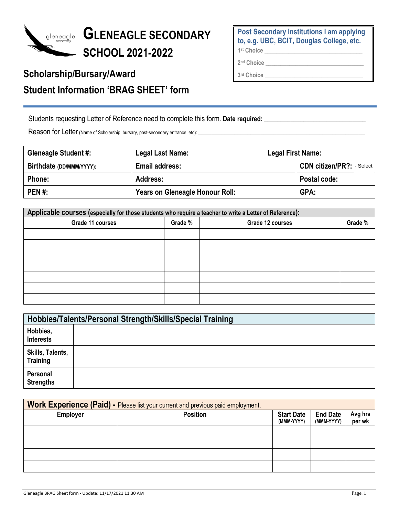

## **GLENEAGLE SECONDARY SCHOOL 202**1**-202**2

## **Scholarship/Bursary/Award Student Information 'BRAG SHEET' form**

**Post Secondary Institutions I am applying to, e.g. UBC, BCIT, Douglas College, etc. 1st Choice \_\_\_\_\_\_\_\_\_\_\_\_\_\_\_\_\_\_\_\_\_\_\_\_\_\_\_\_\_\_\_\_\_** 

**2nd Choice \_\_\_\_\_\_\_\_\_\_\_\_\_\_\_\_\_\_\_\_\_\_\_\_\_\_\_\_\_\_\_\_\_**

**3rd Choice \_\_\_\_\_\_\_\_\_\_\_\_\_\_\_\_\_\_\_\_\_\_\_\_\_\_\_\_\_\_\_\_\_**

Students requesting Letter of Reference need to complete this form. Date required: \_\_\_\_\_\_\_\_\_\_\_\_\_\_\_\_\_\_\_\_\_\_\_\_\_\_\_

Reason for Letter (Name of Scholarship, bursary, post-secondary entrance, etc):

| <b>Gleneagle Student #:</b> | Legal Last Name:                | Legal First Name: |                                |
|-----------------------------|---------------------------------|-------------------|--------------------------------|
| Birthdate (DD/MMM/YYYY):    | <b>Email address:</b>           |                   | <b>CDN citizen/PR?:</b> Select |
| Phone:                      | Address:                        |                   | Postal code:                   |
| <b>PEN#:</b>                | Years on Gleneagle Honour Roll: |                   | GPA:                           |

| Applicable courses (especially for those students who require a teacher to write a Letter of Reference): |         |                  |         |  |
|----------------------------------------------------------------------------------------------------------|---------|------------------|---------|--|
| Grade 11 courses                                                                                         | Grade % | Grade 12 courses | Grade % |  |
|                                                                                                          |         |                  |         |  |
|                                                                                                          |         |                  |         |  |
|                                                                                                          |         |                  |         |  |
|                                                                                                          |         |                  |         |  |
|                                                                                                          |         |                  |         |  |
|                                                                                                          |         |                  |         |  |
|                                                                                                          |         |                  |         |  |

|                                     | Hobbies/Talents/Personal Strength/Skills/Special Training |  |  |  |
|-------------------------------------|-----------------------------------------------------------|--|--|--|
| Hobbies,<br><b>Interests</b>        |                                                           |  |  |  |
| Skills, Talents,<br><b>Training</b> |                                                           |  |  |  |
| Personal<br><b>Strengths</b>        |                                                           |  |  |  |

|                 | Work Experience (Paid) - Please list your current and previous paid employment. |                                 |                               |                   |
|-----------------|---------------------------------------------------------------------------------|---------------------------------|-------------------------------|-------------------|
| <b>Employer</b> | <b>Position</b>                                                                 | <b>Start Date</b><br>(MMM-YYYY) | <b>End Date</b><br>(MMM-YYYY) | Avg hrs<br>per wk |
|                 |                                                                                 |                                 |                               |                   |
|                 |                                                                                 |                                 |                               |                   |
|                 |                                                                                 |                                 |                               |                   |
|                 |                                                                                 |                                 |                               |                   |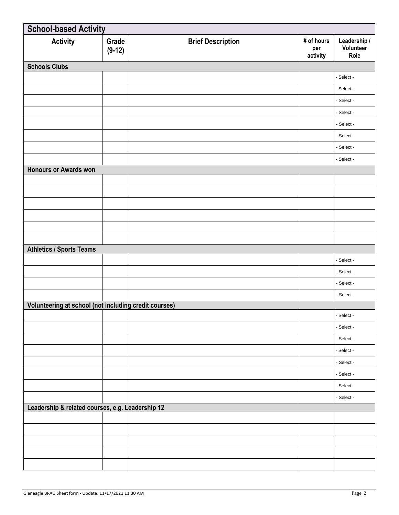| <b>School-based Activity</b>                          |                   |                          |                               |                                   |
|-------------------------------------------------------|-------------------|--------------------------|-------------------------------|-----------------------------------|
| <b>Activity</b>                                       | Grade<br>$(9-12)$ | <b>Brief Description</b> | # of hours<br>per<br>activity | Leadership /<br>Volunteer<br>Role |
| <b>Schools Clubs</b>                                  |                   |                          |                               |                                   |
|                                                       |                   |                          |                               | - Select -                        |
|                                                       |                   |                          |                               | - Select -                        |
|                                                       |                   |                          |                               | - Select -                        |
|                                                       |                   |                          |                               | - Select -                        |
|                                                       |                   |                          |                               | - Select -                        |
|                                                       |                   |                          |                               | - Select -                        |
|                                                       |                   |                          |                               | - Select -                        |
|                                                       |                   |                          |                               | - Select -                        |
| Honours or Awards won                                 |                   |                          |                               |                                   |
|                                                       |                   |                          |                               |                                   |
|                                                       |                   |                          |                               |                                   |
|                                                       |                   |                          |                               |                                   |
|                                                       |                   |                          |                               |                                   |
|                                                       |                   |                          |                               |                                   |
|                                                       |                   |                          |                               |                                   |
| <b>Athletics / Sports Teams</b>                       |                   |                          |                               |                                   |
|                                                       |                   |                          |                               | - Select -                        |
|                                                       |                   |                          |                               | - Select -                        |
|                                                       |                   |                          |                               | - Select -                        |
|                                                       |                   |                          |                               | - Select -                        |
| Volunteering at school (not including credit courses) |                   |                          |                               |                                   |
|                                                       |                   |                          |                               | - Select -                        |
|                                                       |                   |                          |                               | - Select -                        |
|                                                       |                   |                          |                               | - Select -                        |
|                                                       |                   |                          |                               | - Select -                        |
|                                                       |                   |                          |                               | - Select -                        |
|                                                       |                   |                          |                               | - Select -                        |
|                                                       |                   |                          |                               | - Select -                        |
|                                                       |                   |                          |                               | - Select -                        |
| Leadership & related courses, e.g. Leadership 12      |                   |                          |                               |                                   |
|                                                       |                   |                          |                               |                                   |
|                                                       |                   |                          |                               |                                   |
|                                                       |                   |                          |                               |                                   |
|                                                       |                   |                          |                               |                                   |
|                                                       |                   |                          |                               |                                   |